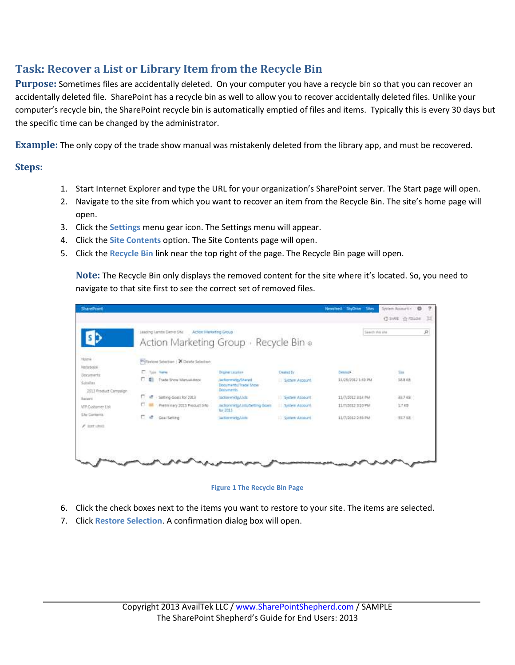## **Task: Recover a List or Library Item from the Recycle Bin**

**Purpose:** Sometimes files are accidentally deleted. On your computer you have a recycle bin so that you can recover an accidentally deleted file. SharePoint has a recycle bin as well to allow you to recover accidentally deleted files. Unlike your computer's recycle bin, the SharePoint recycle bin is automatically emptied of files and items. Typically this is every 30 days but the specific time can be changed by the administrator.

**Example:** The only copy of the trade show manual was mistakenly deleted from the library app, and must be recovered.

## **Steps:**

- 1. Start Internet Explorer and type the URL for your organization's SharePoint server. The Start page will open.
- 2. Navigate to the site from which you want to recover an item from the Recycle Bin. The site's home page will open.
- 3. Click the **Settings** menu gear icon. The Settings menu will appear.
- 4. Click the **Site Contents** option. The Site Contents page will open.
- 5. Click the **Recycle Bin** link near the top right of the page. The Recycle Bin page will open.

**Note:** The Recycle Bin only displays the removed content for the site where it's located. So, you need to navigate to that site first to see the correct set of removed files.

| <b>SharePoint</b>                  |                                           |                                                                   |                                                          | Newshed.<br>Silbert<br>SkyChive                 | System Accounts -<br>ø |   |
|------------------------------------|-------------------------------------------|-------------------------------------------------------------------|----------------------------------------------------------|-------------------------------------------------|------------------------|---|
|                                    |                                           |                                                                   |                                                          |                                                 | C IANE C FOLDE         |   |
|                                    | Leading Lamits Denis Site                 | Action Martisting Group<br>Action Marketing Group · Recycle Bin o |                                                          | Search this site                                |                        | 身 |
| Homè<br>Notirbobk                  | Prinastone Selection   X Delete Selection |                                                                   |                                                          |                                                 |                        |   |
| Documents                          | п.<br>Tonn Harve                          | Dispinal Lecuries                                                 | <b>Dested By</b>                                         | Deleterial.                                     | <b>Tim</b>             |   |
| Soluties<br>2013 Product Caropeign | <b>C 41</b><br>Trade Show Mercall dock    | /actionmete/Shared<br>Documents/Trade Show<br>Decuments:          | System Account<br><b><i><u>NONESCO A PICARDO</u></i></b> | 11/25/2012 1:39 PM                              | 18.8 KB<br>-----       |   |
| <b>Recent</b>                      | c.<br>Setting Goals for 2013<br>×.        | /actiermide/Lists                                                 | System Account                                           | 11/7/2012 3:14 PM                               | 33.7 KB                |   |
| VIP Customer List                  | o.<br>Pretminery 2013 Product Info        | mctionmidg/Litts/Setting Goals:<br>for 2013                       | <b>III System Account</b><br>(コンティー・ノス/白さん)              | 11/1/2012 3/10 PM<br><b>Commentant Comments</b> | 1.7 KB                 |   |
| <b>Site Contents</b>               | c.<br>$\mathcal{L}$<br>Goal Setting       | Vactionmidis/Lists                                                | 11 System Account                                        | 11/7/2012-2:38 PM                               | $387$ KB               |   |
| $F$ EXT UNIT                       |                                           |                                                                   |                                                          |                                                 |                        |   |
|                                    |                                           |                                                                   |                                                          |                                                 |                        |   |
|                                    |                                           |                                                                   |                                                          |                                                 |                        |   |
|                                    |                                           |                                                                   |                                                          |                                                 |                        |   |
|                                    |                                           |                                                                   |                                                          |                                                 |                        |   |

## **Figure 1 The Recycle Bin Page**

- 6. Click the check boxes next to the items you want to restore to your site. The items are selected.
- 7. Click **Restore Selection**. A confirmation dialog box will open.